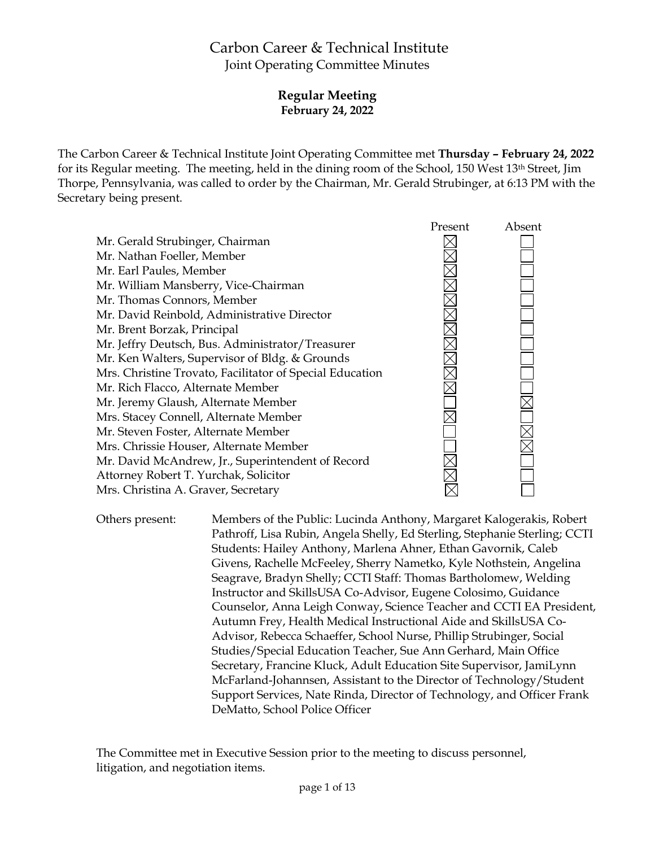# Carbon Career & Technical Institute Joint Operating Committee Minutes

## **Regular Meeting February 24, 2022**

The Carbon Career & Technical Institute Joint Operating Committee met **Thursday – February 24, 2022** for its Regular meeting. The meeting, held in the dining room of the School, 150 West 13th Street, Jim Thorpe, Pennsylvania, was called to order by the Chairman, Mr. Gerald Strubinger, at 6:13 PM with the Secretary being present.



Others present: Members of the Public: Lucinda Anthony, Margaret Kalogerakis, Robert Pathroff, Lisa Rubin, Angela Shelly, Ed Sterling, Stephanie Sterling; CCTI Students: Hailey Anthony, Marlena Ahner, Ethan Gavornik, Caleb Givens, Rachelle McFeeley, Sherry Nametko, Kyle Nothstein, Angelina Seagrave, Bradyn Shelly; CCTI Staff: Thomas Bartholomew, Welding Instructor and SkillsUSA Co-Advisor, Eugene Colosimo, Guidance Counselor, Anna Leigh Conway, Science Teacher and CCTI EA President, Autumn Frey, Health Medical Instructional Aide and SkillsUSA Co-Advisor, Rebecca Schaeffer, School Nurse, Phillip Strubinger, Social Studies/Special Education Teacher, Sue Ann Gerhard, Main Office Secretary, Francine Kluck, Adult Education Site Supervisor, JamiLynn McFarland-Johannsen, Assistant to the Director of Technology/Student Support Services, Nate Rinda, Director of Technology, and Officer Frank DeMatto, School Police Officer

The Committee met in Executive Session prior to the meeting to discuss personnel, litigation, and negotiation items.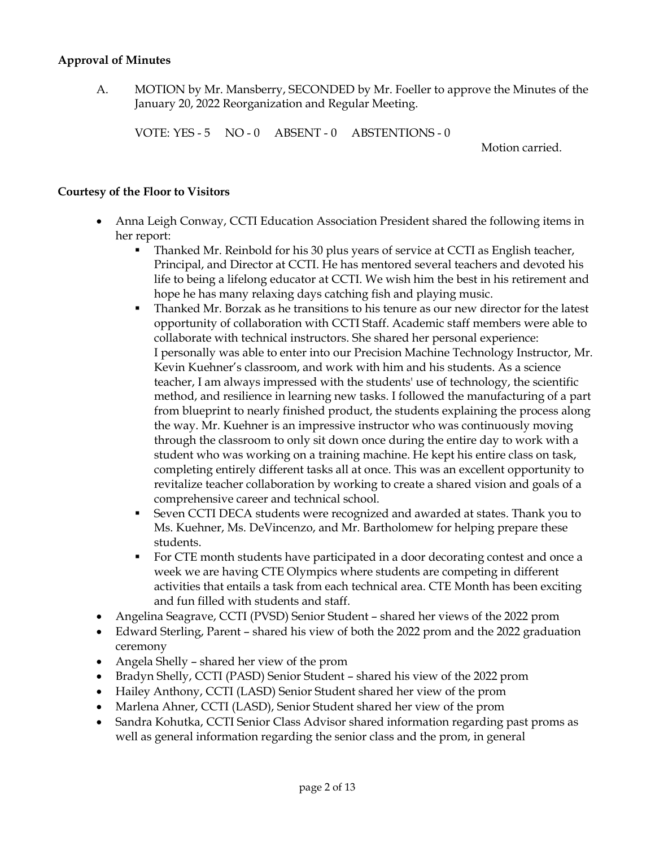#### **Approval of Minutes**

A. MOTION by Mr. Mansberry, SECONDED by Mr. Foeller to approve the Minutes of the January 20, 2022 Reorganization and Regular Meeting.

VOTE: YES - 5 NO - 0 ABSENT - 0 ABSTENTIONS - 0

Motion carried.

#### **Courtesy of the Floor to Visitors**

- Anna Leigh Conway, CCTI Education Association President shared the following items in her report:
	- Thanked Mr. Reinbold for his 30 plus years of service at CCTI as English teacher, Principal, and Director at CCTI. He has mentored several teachers and devoted his life to being a lifelong educator at CCTI. We wish him the best in his retirement and hope he has many relaxing days catching fish and playing music.
	- Thanked Mr. Borzak as he transitions to his tenure as our new director for the latest opportunity of collaboration with CCTI Staff. Academic staff members were able to collaborate with technical instructors. She shared her personal experience: I personally was able to enter into our Precision Machine Technology Instructor, Mr. Kevin Kuehner's classroom, and work with him and his students. As a science teacher, I am always impressed with the students' use of technology, the scientific method, and resilience in learning new tasks. I followed the manufacturing of a part from blueprint to nearly finished product, the students explaining the process along the way. Mr. Kuehner is an impressive instructor who was continuously moving through the classroom to only sit down once during the entire day to work with a student who was working on a training machine. He kept his entire class on task, completing entirely different tasks all at once. This was an excellent opportunity to revitalize teacher collaboration by working to create a shared vision and goals of a comprehensive career and technical school.
	- Seven CCTI DECA students were recognized and awarded at states. Thank you to Ms. Kuehner, Ms. DeVincenzo, and Mr. Bartholomew for helping prepare these students.
	- For CTE month students have participated in a door decorating contest and once a week we are having CTE Olympics where students are competing in different activities that entails a task from each technical area. CTE Month has been exciting and fun filled with students and staff.
- Angelina Seagrave, CCTI (PVSD) Senior Student shared her views of the 2022 prom
- Edward Sterling, Parent shared his view of both the 2022 prom and the 2022 graduation ceremony
- Angela Shelly shared her view of the prom
- Bradyn Shelly, CCTI (PASD) Senior Student shared his view of the 2022 prom
- Hailey Anthony, CCTI (LASD) Senior Student shared her view of the prom
- Marlena Ahner, CCTI (LASD), Senior Student shared her view of the prom
- Sandra Kohutka, CCTI Senior Class Advisor shared information regarding past proms as well as general information regarding the senior class and the prom, in general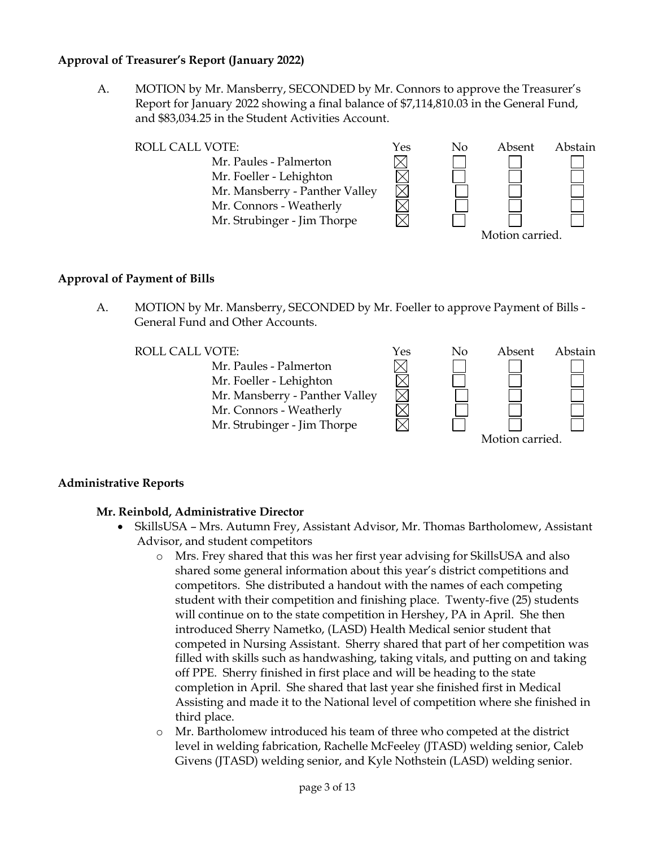#### **Approval of Treasurer's Report (January 2022)**

A. MOTION by Mr. Mansberry, SECONDED by Mr. Connors to approve the Treasurer's Report for January 2022 showing a final balance of \$7,114,810.03 in the General Fund, and \$83,034.25 in the Student Activities Account.



#### **Approval of Payment of Bills**

A. MOTION by Mr. Mansberry, SECONDED by Mr. Foeller to approve Payment of Bills - General Fund and Other Accounts.



#### **Administrative Reports**

#### **Mr. Reinbold, Administrative Director**

- SkillsUSA Mrs. Autumn Frey, Assistant Advisor, Mr. Thomas Bartholomew, Assistant Advisor, and student competitors
	- o Mrs. Frey shared that this was her first year advising for SkillsUSA and also shared some general information about this year's district competitions and competitors. She distributed a handout with the names of each competing student with their competition and finishing place. Twenty-five (25) students will continue on to the state competition in Hershey, PA in April. She then introduced Sherry Nametko, (LASD) Health Medical senior student that competed in Nursing Assistant. Sherry shared that part of her competition was filled with skills such as handwashing, taking vitals, and putting on and taking off PPE. Sherry finished in first place and will be heading to the state completion in April. She shared that last year she finished first in Medical Assisting and made it to the National level of competition where she finished in third place.
	- o Mr. Bartholomew introduced his team of three who competed at the district level in welding fabrication, Rachelle McFeeley (JTASD) welding senior, Caleb Givens (JTASD) welding senior, and Kyle Nothstein (LASD) welding senior.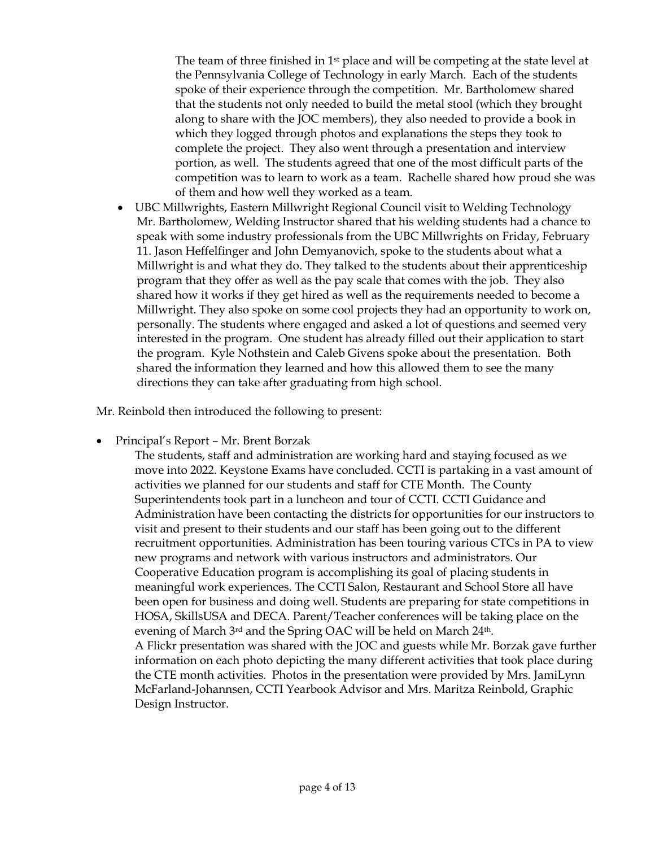The team of three finished in  $1<sup>st</sup>$  place and will be competing at the state level at the Pennsylvania College of Technology in early March. Each of the students spoke of their experience through the competition. Mr. Bartholomew shared that the students not only needed to build the metal stool (which they brought along to share with the JOC members), they also needed to provide a book in which they logged through photos and explanations the steps they took to complete the project. They also went through a presentation and interview portion, as well. The students agreed that one of the most difficult parts of the competition was to learn to work as a team. Rachelle shared how proud she was of them and how well they worked as a team.

 UBC Millwrights, Eastern Millwright Regional Council visit to Welding Technology Mr. Bartholomew, Welding Instructor shared that his welding students had a chance to speak with some industry professionals from the UBC Millwrights on Friday, February 11. Jason Heffelfinger and John Demyanovich, spoke to the students about what a Millwright is and what they do. They talked to the students about their apprenticeship program that they offer as well as the pay scale that comes with the job. They also shared how it works if they get hired as well as the requirements needed to become a Millwright. They also spoke on some cool projects they had an opportunity to work on, personally. The students where engaged and asked a lot of questions and seemed very interested in the program. One student has already filled out their application to start the program. Kyle Nothstein and Caleb Givens spoke about the presentation. Both shared the information they learned and how this allowed them to see the many directions they can take after graduating from high school.

Mr. Reinbold then introduced the following to present:

Principal's Report – Mr. Brent Borzak

The students, staff and administration are working hard and staying focused as we move into 2022. Keystone Exams have concluded. CCTI is partaking in a vast amount of activities we planned for our students and staff for CTE Month. The County Superintendents took part in a luncheon and tour of CCTI. CCTI Guidance and Administration have been contacting the districts for opportunities for our instructors to visit and present to their students and our staff has been going out to the different recruitment opportunities. Administration has been touring various CTCs in PA to view new programs and network with various instructors and administrators. Our Cooperative Education program is accomplishing its goal of placing students in meaningful work experiences. The CCTI Salon, Restaurant and School Store all have been open for business and doing well. Students are preparing for state competitions in HOSA, SkillsUSA and DECA. Parent/Teacher conferences will be taking place on the evening of March 3<sup>rd</sup> and the Spring OAC will be held on March 24<sup>th</sup>. A Flickr presentation was shared with the JOC and guests while Mr. Borzak gave further information on each photo depicting the many different activities that took place during the CTE month activities. Photos in the presentation were provided by Mrs. JamiLynn McFarland-Johannsen, CCTI Yearbook Advisor and Mrs. Maritza Reinbold, Graphic Design Instructor.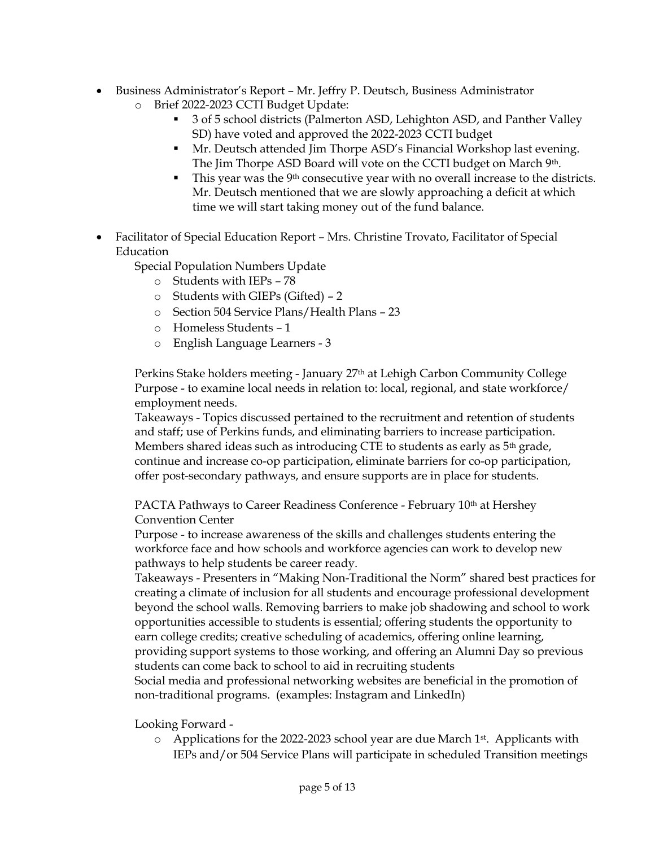- Business Administrator's Report Mr. Jeffry P. Deutsch, Business Administrator o Brief 2022-2023 CCTI Budget Update:
	- 3 of 5 school districts (Palmerton ASD, Lehighton ASD, and Panther Valley SD) have voted and approved the 2022-2023 CCTI budget
	- Mr. Deutsch attended Jim Thorpe ASD's Financial Workshop last evening. The Jim Thorpe ASD Board will vote on the CCTI budget on March 9th.
	- This year was the 9th consecutive year with no overall increase to the districts. Mr. Deutsch mentioned that we are slowly approaching a deficit at which time we will start taking money out of the fund balance.
- Facilitator of Special Education Report Mrs. Christine Trovato, Facilitator of Special Education

Special Population Numbers Update

- o Students with IEPs 78
- o Students with GIEPs (Gifted) 2
- o Section 504 Service Plans/Health Plans 23
- o Homeless Students 1
- o English Language Learners 3

Perkins Stake holders meeting - January 27th at Lehigh Carbon Community College Purpose - to examine local needs in relation to: local, regional, and state workforce/ employment needs.

Takeaways - Topics discussed pertained to the recruitment and retention of students and staff; use of Perkins funds, and eliminating barriers to increase participation. Members shared ideas such as introducing CTE to students as early as  $5<sup>th</sup>$  grade, continue and increase co-op participation, eliminate barriers for co-op participation, offer post-secondary pathways, and ensure supports are in place for students.

PACTA Pathways to Career Readiness Conference - February 10<sup>th</sup> at Hershey Convention Center

Purpose - to increase awareness of the skills and challenges students entering the workforce face and how schools and workforce agencies can work to develop new pathways to help students be career ready.

Takeaways - Presenters in "Making Non-Traditional the Norm" shared best practices for creating a climate of inclusion for all students and encourage professional development beyond the school walls. Removing barriers to make job shadowing and school to work opportunities accessible to students is essential; offering students the opportunity to earn college credits; creative scheduling of academics, offering online learning, providing support systems to those working, and offering an Alumni Day so previous students can come back to school to aid in recruiting students

Social media and professional networking websites are beneficial in the promotion of non-traditional programs. (examples: Instagram and LinkedIn)

Looking Forward -

 $\circ$  Applications for the 2022-2023 school year are due March 1<sup>st</sup>. Applicants with IEPs and/or 504 Service Plans will participate in scheduled Transition meetings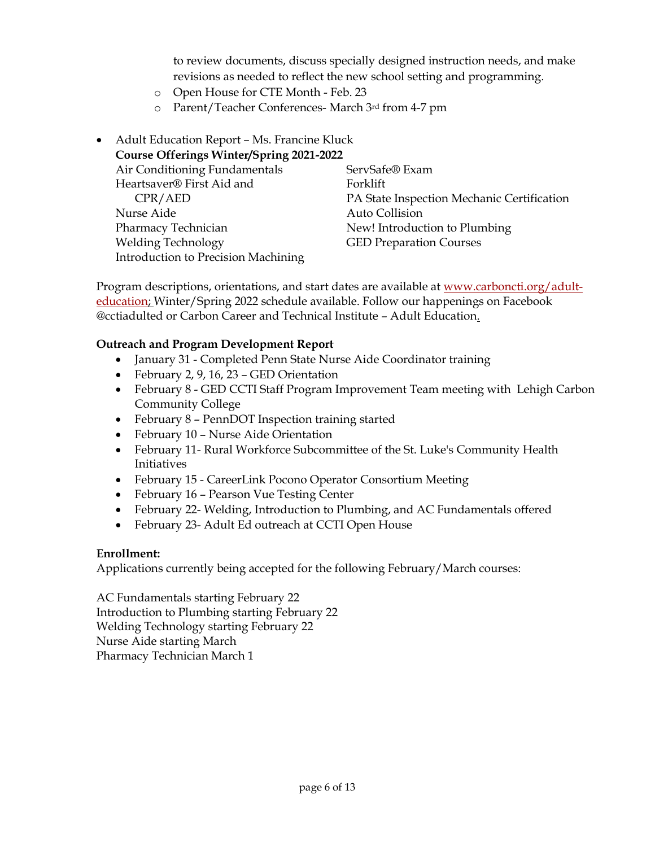to review documents, discuss specially designed instruction needs, and make revisions as needed to reflect the new school setting and programming.

- o Open House for CTE Month Feb. 23
- o Parent/Teacher Conferences- March 3rd from 4-7 pm

## Adult Education Report – Ms. Francine Kluck

| <b>Course Offerings Winter/Spring 2021-2022</b> |                                            |
|-------------------------------------------------|--------------------------------------------|
| Air Conditioning Fundamentals                   | ServSafe® Exam                             |
| Heartsaver® First Aid and                       | Forklift                                   |
| CPR/ AED                                        | PA State Inspection Mechanic Certification |
| Nurse Aide                                      | Auto Collision                             |
| Pharmacy Technician                             | New! Introduction to Plumbing              |
| <b>Welding Technology</b>                       | <b>GED Preparation Courses</b>             |
| Introduction to Precision Machining             |                                            |

Program descriptions, orientations, and start dates are available at [www.carboncti.org/adult](http://www.carboncti.org/adult-education)[education;](http://www.carboncti.org/adult-education) Winter/Spring 2022 schedule available. Follow our happenings on Facebook @cctiadulted or Carbon Career and Technical Institute – Adult Education.

#### **Outreach and Program Development Report**

- January 31 Completed Penn State Nurse Aide Coordinator training
- February 2, 9, 16, 23 GED Orientation
- February 8 GED CCTI Staff Program Improvement Team meeting with Lehigh Carbon Community College
- February 8 PennDOT Inspection training started
- February 10 Nurse Aide Orientation
- February 11- Rural Workforce Subcommittee of the St. Luke's Community Health Initiatives
- February 15 CareerLink Pocono Operator Consortium Meeting
- February 16 Pearson Vue Testing Center
- February 22- Welding, Introduction to Plumbing, and AC Fundamentals offered
- February 23- Adult Ed outreach at CCTI Open House

#### **Enrollment:**

Applications currently being accepted for the following February/March courses:

AC Fundamentals starting February 22 Introduction to Plumbing starting February 22 Welding Technology starting February 22 Nurse Aide starting March Pharmacy Technician March 1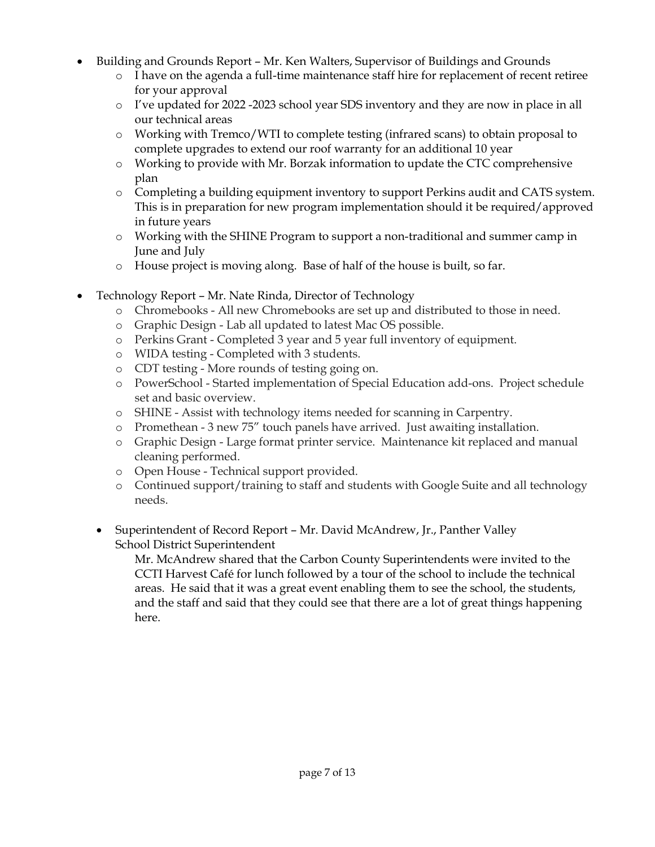- Building and Grounds Report Mr. Ken Walters, Supervisor of Buildings and Grounds
	- o I have on the agenda a full-time maintenance staff hire for replacement of recent retiree for your approval
	- o I've updated for 2022 -2023 school year SDS inventory and they are now in place in all our technical areas
	- o Working with Tremco/WTI to complete testing (infrared scans) to obtain proposal to complete upgrades to extend our roof warranty for an additional 10 year
	- o Working to provide with Mr. Borzak information to update the CTC comprehensive plan
	- o Completing a building equipment inventory to support Perkins audit and CATS system. This is in preparation for new program implementation should it be required/approved in future years
	- o Working with the SHINE Program to support a non-traditional and summer camp in June and July
	- o House project is moving along. Base of half of the house is built, so far.
- Technology Report Mr. Nate Rinda, Director of Technology
	- o Chromebooks All new Chromebooks are set up and distributed to those in need.
	- o Graphic Design Lab all updated to latest Mac OS possible.
	- o Perkins Grant Completed 3 year and 5 year full inventory of equipment.
	- o WIDA testing Completed with 3 students.
	- o CDT testing More rounds of testing going on.
	- o PowerSchool Started implementation of Special Education add-ons. Project schedule set and basic overview.
	- o SHINE Assist with technology items needed for scanning in Carpentry.
	- o Promethean 3 new 75" touch panels have arrived. Just awaiting installation.
	- o Graphic Design Large format printer service. Maintenance kit replaced and manual cleaning performed.
	- o Open House Technical support provided.
	- o Continued support/training to staff and students with Google Suite and all technology needs.
	- Superintendent of Record Report Mr. David McAndrew, Jr., Panther Valley School District Superintendent

Mr. McAndrew shared that the Carbon County Superintendents were invited to the CCTI Harvest Café for lunch followed by a tour of the school to include the technical areas. He said that it was a great event enabling them to see the school, the students, and the staff and said that they could see that there are a lot of great things happening here.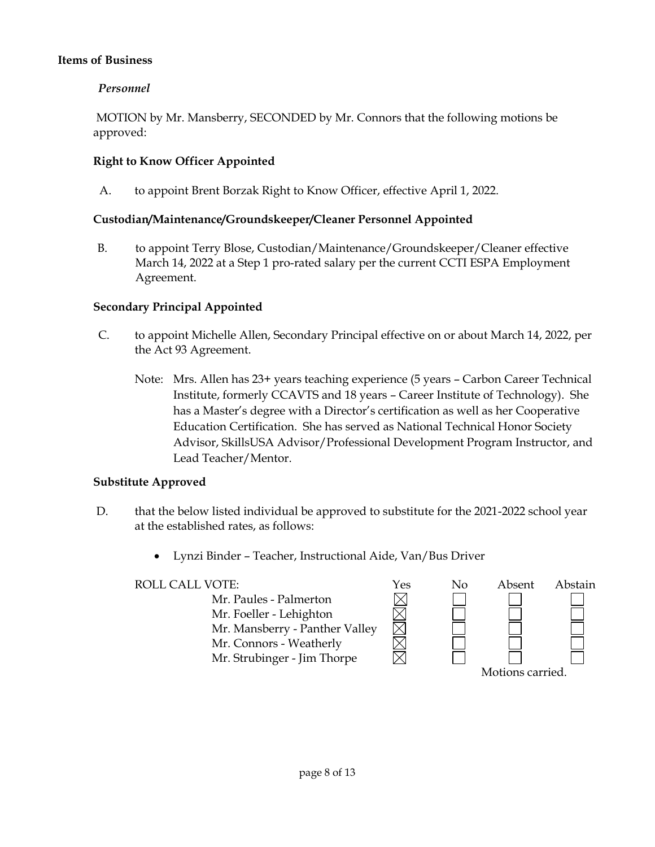#### **Items of Business**

## *Personnel*

MOTION by Mr. Mansberry, SECONDED by Mr. Connors that the following motions be approved:

## **Right to Know Officer Appointed**

A. to appoint Brent Borzak Right to Know Officer, effective April 1, 2022.

#### **Custodian/Maintenance/Groundskeeper/Cleaner Personnel Appointed**

B. to appoint Terry Blose, Custodian/Maintenance/Groundskeeper/Cleaner effective March 14, 2022 at a Step 1 pro-rated salary per the current CCTI ESPA Employment Agreement.

## **Secondary Principal Appointed**

- C. to appoint Michelle Allen, Secondary Principal effective on or about March 14, 2022, per the Act 93 Agreement.
	- Note: Mrs. Allen has 23+ years teaching experience (5 years Carbon Career Technical Institute, formerly CCAVTS and 18 years – Career Institute of Technology). She has a Master's degree with a Director's certification as well as her Cooperative Education Certification. She has served as National Technical Honor Society Advisor, SkillsUSA Advisor/Professional Development Program Instructor, and Lead Teacher/Mentor.

#### **Substitute Approved**

- D. that the below listed individual be approved to substitute for the 2021-2022 school year at the established rates, as follows:
	- Lynzi Binder Teacher, Instructional Aide, Van/Bus Driver

#### ROLL CALL VOTE:<br>
Mr. Paules - Palmerton<br>
Mr. Foeller - Lehighton<br>
Mr. Mansberry - Panther Valley Mr. Paules - Palmerton Mr. Foeller - Lehighton Mr. Mansberry - Panther Valley Mr. Connors - Weatherly Mr. Strubinger - Jim Thorpe Motions carried.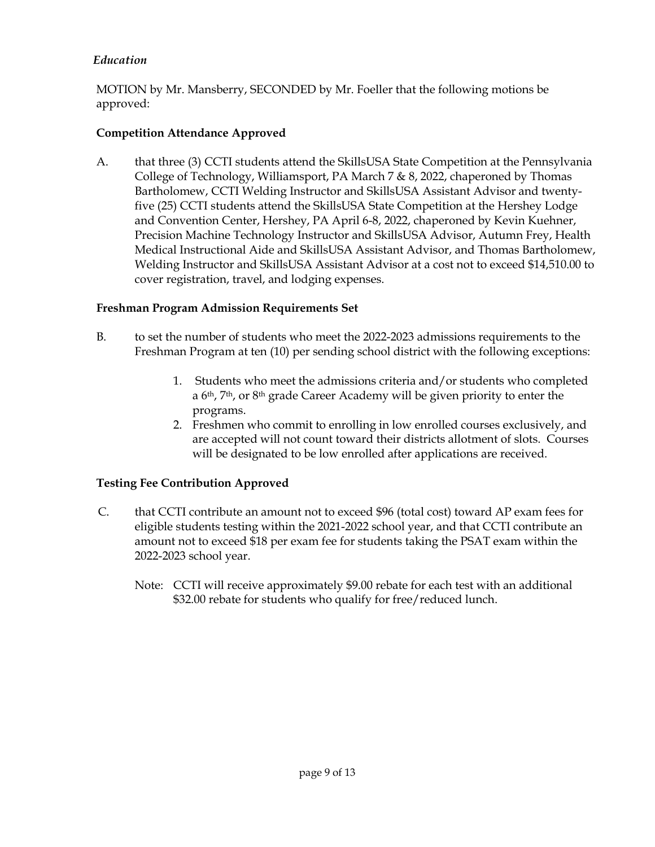## *Education*

MOTION by Mr. Mansberry, SECONDED by Mr. Foeller that the following motions be approved:

## **Competition Attendance Approved**

A. that three (3) CCTI students attend the SkillsUSA State Competition at the Pennsylvania College of Technology, Williamsport, PA March 7 & 8, 2022, chaperoned by Thomas Bartholomew, CCTI Welding Instructor and SkillsUSA Assistant Advisor and twentyfive (25) CCTI students attend the SkillsUSA State Competition at the Hershey Lodge and Convention Center, Hershey, PA April 6-8, 2022, chaperoned by Kevin Kuehner, Precision Machine Technology Instructor and SkillsUSA Advisor, Autumn Frey, Health Medical Instructional Aide and SkillsUSA Assistant Advisor, and Thomas Bartholomew, Welding Instructor and SkillsUSA Assistant Advisor at a cost not to exceed \$14,510.00 to cover registration, travel, and lodging expenses.

#### **Freshman Program Admission Requirements Set**

- B. to set the number of students who meet the 2022-2023 admissions requirements to the Freshman Program at ten (10) per sending school district with the following exceptions:
	- 1. Students who meet the admissions criteria and/or students who completed a 6th, 7th, or 8th grade Career Academy will be given priority to enter the programs.
	- 2. Freshmen who commit to enrolling in low enrolled courses exclusively, and are accepted will not count toward their districts allotment of slots. Courses will be designated to be low enrolled after applications are received.

#### **Testing Fee Contribution Approved**

- C. that CCTI contribute an amount not to exceed \$96 (total cost) toward AP exam fees for eligible students testing within the 2021-2022 school year, and that CCTI contribute an amount not to exceed \$18 per exam fee for students taking the PSAT exam within the 2022-2023 school year.
	- Note: CCTI will receive approximately \$9.00 rebate for each test with an additional \$32.00 rebate for students who qualify for free/reduced lunch.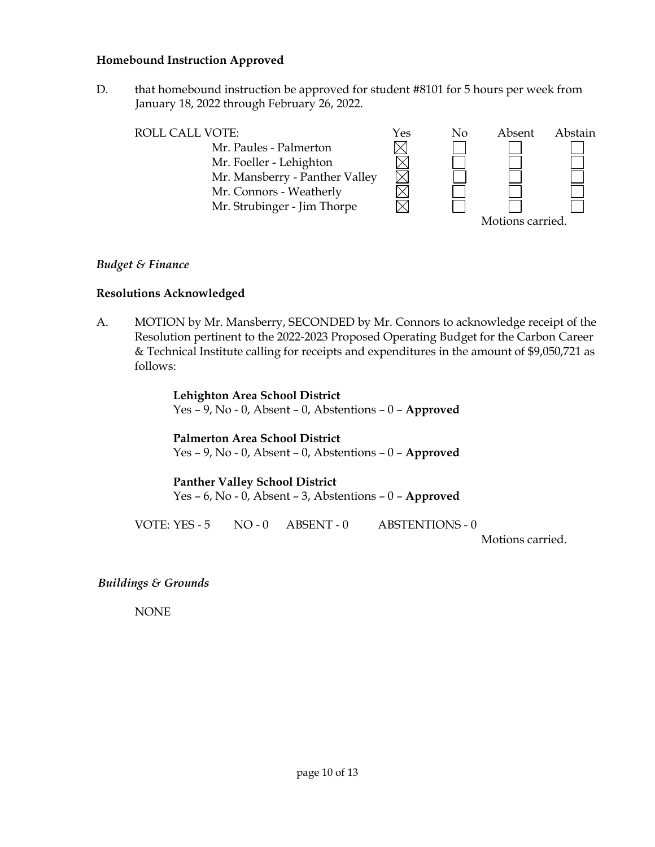#### **Homebound Instruction Approved**

D. that homebound instruction be approved for student #8101 for 5 hours per week from January 18, 2022 through February 26, 2022.

Mr. Paules - Palmerton

ROLL CALL VOTE:<br>
Mr. Paules - Palmerton<br>
Mr. Foeller - Lehighton<br>
Mr. Mansberry - Panther Valley<br>
Mr. Connors - Weatherly<br>
Mr. Strubinger - Jim Thorpe Mr. Foeller - Lehighton Mr. Mansberry - Panther Valley Mr. Connors - Weatherly Mr. Strubinger - Jim Thorpe

| No | Absent           | Abstain |
|----|------------------|---------|
|    |                  |         |
|    |                  |         |
|    |                  |         |
|    |                  |         |
|    |                  |         |
|    | Motions carried. |         |

#### *Budget & Finance*

#### **Resolutions Acknowledged**

A. MOTION by Mr. Mansberry, SECONDED by Mr. Connors to acknowledge receipt of the Resolution pertinent to the 2022-2023 Proposed Operating Budget for the Carbon Career & Technical Institute calling for receipts and expenditures in the amount of \$9,050,721 as follows:

> **Lehighton Area School District** Yes – 9, No - 0, Absent – 0, Abstentions – 0 – **Approved**

> **Palmerton Area School District** Yes – 9, No - 0, Absent – 0, Abstentions – 0 – **Approved**

**Panther Valley School District** Yes – 6, No - 0, Absent – 3, Abstentions – 0 – **Approved**

VOTE: YES - 5 NO - 0 ABSENT - 0 ABSTENTIONS - 0

Motions carried.

*Buildings & Grounds*

NONE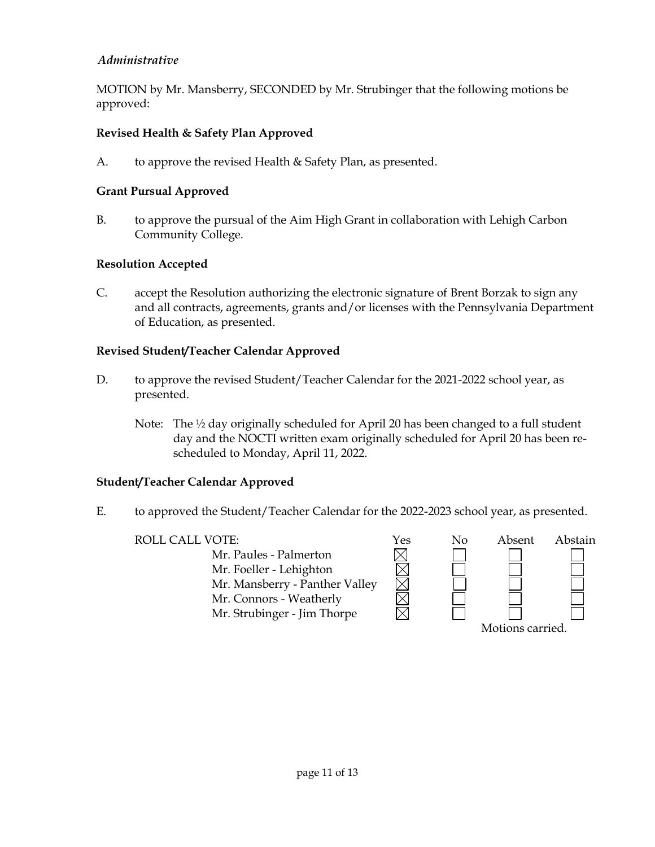## *Administrative*

MOTION by Mr. Mansberry, SECONDED by Mr. Strubinger that the following motions be approved:

## **Revised Health & Safety Plan Approved**

A. to approve the revised Health & Safety Plan, as presented.

#### **Grant Pursual Approved**

B. to approve the pursual of the Aim High Grant in collaboration with Lehigh Carbon Community College.

## **Resolution Accepted**

C. accept the Resolution authorizing the electronic signature of Brent Borzak to sign any and all contracts, agreements, grants and/or licenses with the Pennsylvania Department of Education, as presented.

## **Revised Student/Teacher Calendar Approved**

- D. to approve the revised Student/Teacher Calendar for the 2021-2022 school year, as presented.
	- Note: The ½ day originally scheduled for April 20 has been changed to a full student day and the NOCTI written exam originally scheduled for April 20 has been rescheduled to Monday, April 11, 2022.

#### **Student/Teacher Calendar Approved**

E. to approved the Student/Teacher Calendar for the 2022-2023 school year, as presented.

Mr. Paules - Palmerton Mr. Foeller - Lehighton Mr. Mansberry - Panther Valley Mr. Connors - Weatherly Mr. Strubinger - Jim Thorpe

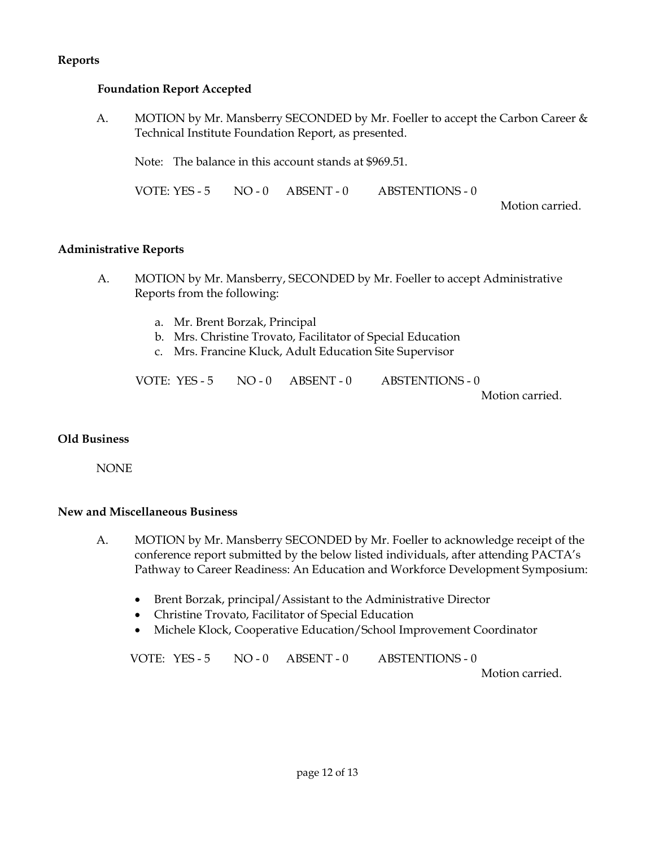#### **Reports**

#### **Foundation Report Accepted**

A. MOTION by Mr. Mansberry SECONDED by Mr. Foeller to accept the Carbon Career & Technical Institute Foundation Report, as presented.

Note: The balance in this account stands at \$969.51.

VOTE: YES - 5 NO - 0 ABSENT - 0 ABSTENTIONS - 0

Motion carried.

#### **Administrative Reports**

- A. MOTION by Mr. Mansberry, SECONDED by Mr. Foeller to accept Administrative Reports from the following:
	- a. Mr. Brent Borzak, Principal
	- b. Mrs. Christine Trovato, Facilitator of Special Education
	- c. Mrs. Francine Kluck, Adult Education Site Supervisor

| VOTE: YES - 5 | $NO - 0$ $ABSENT - 0$ | <b>ABSTENTIONS - 0</b> |
|---------------|-----------------------|------------------------|
|               |                       | Motion carried.        |

#### **Old Business**

NONE

#### **New and Miscellaneous Business**

- A. MOTION by Mr. Mansberry SECONDED by Mr. Foeller to acknowledge receipt of the conference report submitted by the below listed individuals, after attending PACTA's Pathway to Career Readiness: An Education and Workforce Development Symposium:
	- Brent Borzak, principal/Assistant to the Administrative Director
	- Christine Trovato, Facilitator of Special Education
	- Michele Klock, Cooperative Education/School Improvement Coordinator

VOTE: YES - 5 NO - 0 ABSENT - 0 ABSTENTIONS - 0

Motion carried.